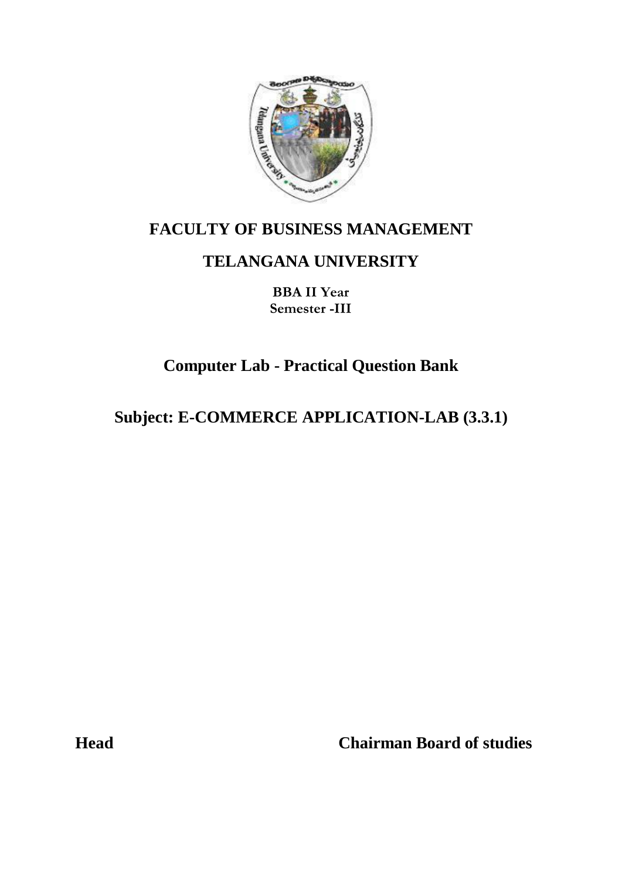

### **FACULTY OF BUSINESS MANAGEMENT**

## **TELANGANA UNIVERSITY**

**BBA II Year Semester -III**

# **Computer Lab - Practical Question Bank**

# **Subject: E-COMMERCE APPLICATION-LAB (3.3.1)**

**Head Chairman Board of studies**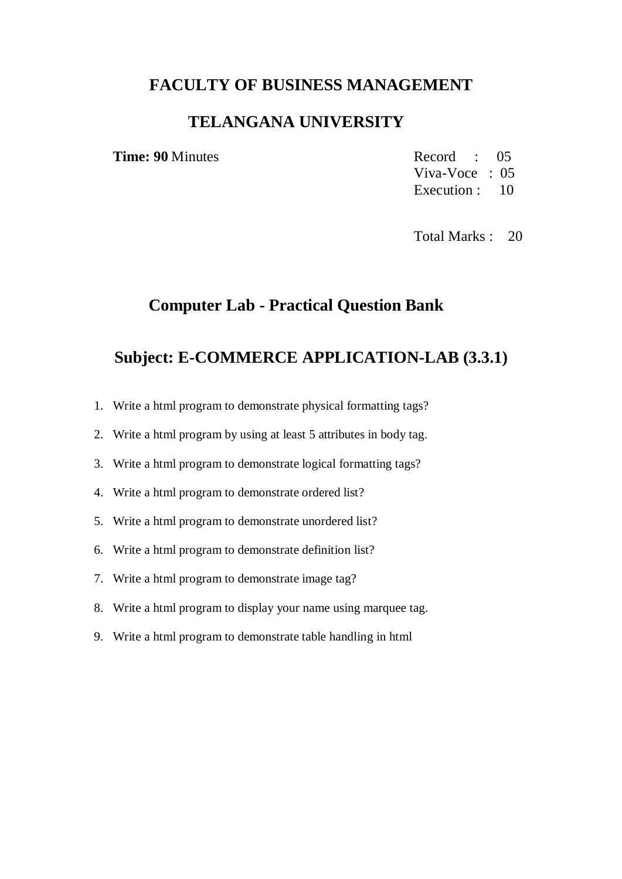#### **FACULTY OF BUSINESS MANAGEMENT**

#### **TELANGANA UNIVERSITY**

**Time: 90** Minutes Record : 05 Viva-Voce : 05 Execution : 10

Total Marks : 20

### **Computer Lab - Practical Question Bank**

#### **Subject: E-COMMERCE APPLICATION-LAB (3.3.1)**

- 1. Write a html program to demonstrate physical formatting tags?
- 2. Write a html program by using at least 5 attributes in body tag.
- 3. Write a html program to demonstrate logical formatting tags?
- 4. Write a html program to demonstrate ordered list?
- 5. Write a html program to demonstrate unordered list?
- 6. Write a html program to demonstrate definition list?
- 7. Write a html program to demonstrate image tag?
- 8. Write a html program to display your name using marquee tag.
- 9. Write a html program to demonstrate table handling in html